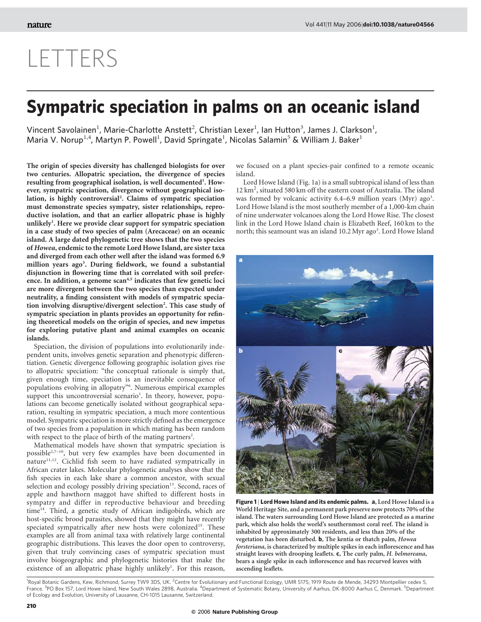## LETTERS

## Sympatric speciation in palms on an oceanic island

Vincent Savolainen<sup>1</sup>, Marie-Charlotte Anstett<sup>2</sup>, Christian Lexer<sup>1</sup>, Ian Hutton<sup>3</sup>, James J. Clarkson<sup>1</sup>, Maria V. Norup<sup>1,4</sup>, Martyn P. Powell<sup>1</sup>, David Springate<sup>1</sup>, Nicolas Salamin<sup>5</sup> & William J. Baker<sup>1</sup>

The origin of species diversity has challenged biologists for over two centuries. Allopatric speciation, the divergence of species resulting from geographical isolation, is well documented<sup>1</sup>. However, sympatric speciation, divergence without geographical isolation, is highly controversial<sup>2</sup>. Claims of sympatric speciation must demonstrate species sympatry, sister relationships, reproductive isolation, and that an earlier allopatric phase is highly unlikely<sup>1</sup>. Here we provide clear support for sympatric speciation in a case study of two species of palm (Arecaceae) on an oceanic island. A large dated phylogenetic tree shows that the two species of Howea, endemic to the remote Lord Howe Island, are sister taxa and diverged from each other well after the island was formed 6.9 million years ago<sup>3</sup>. During fieldwork, we found a substantial disjunction in flowering time that is correlated with soil preference. In addition, a genome scan<sup>4,5</sup> indicates that few genetic loci are more divergent between the two species than expected under neutrality, a finding consistent with models of sympatric speciation involving disruptive/divergent selection<sup>2</sup>. This case study of sympatric speciation in plants provides an opportunity for refining theoretical models on the origin of species, and new impetus for exploring putative plant and animal examples on oceanic islands.

Speciation, the division of populations into evolutionarily independent units, involves genetic separation and phenotypic differentiation. Genetic divergence following geographic isolation gives rise to allopatric speciation: "the conceptual rationale is simply that, given enough time, speciation is an inevitable consequence of populations evolving in allopatry"6 . Numerous empirical examples support this uncontroversial scenario<sup>1</sup>. In theory, however, populations can become genetically isolated without geographical separation, resulting in sympatric speciation, a much more contentious model. Sympatric speciation is more strictly defined as the emergence of two species from a population in which mating has been random with respect to the place of birth of the mating partners<sup>2</sup>.

Mathematical models have shown that sympatric speciation is possible<sup>2,7-10</sup>, but very few examples have been documented in nature<sup>11,12</sup>. Cichlid fish seem to have radiated sympatrically in African crater lakes. Molecular phylogenetic analyses show that the fish species in each lake share a common ancestor, with sexual selection and ecology possibly driving speciation $13$ . Second, races of apple and hawthorn maggot have shifted to different hosts in sympatry and differ in reproductive behaviour and breeding  $time<sup>14</sup>$ . Third, a genetic study of African indigobirds, which are host-specific brood parasites, showed that they might have recently speciated sympatrically after new hosts were colonized<sup>15</sup>. These examples are all from animal taxa with relatively large continental geographic distributions. This leaves the door open to controversy, given that truly convincing cases of sympatric speciation must involve biogeographic and phylogenetic histories that make the existence of an allopatric phase highly unlikely<sup>1</sup>. For this reason,

we focused on a plant species-pair confined to a remote oceanic island.

Lord Howe Island (Fig. 1a) is a small subtropical island of less than 12 km<sup>2</sup>, situated 580 km off the eastern coast of Australia. The island was formed by volcanic activity 6.4-6.9 million years (Myr) ago<sup>3</sup>. Lord Howe Island is the most southerly member of a 1,000-km chain of nine underwater volcanoes along the Lord Howe Rise. The closest link in the Lord Howe Island chain is Elizabeth Reef, 160 km to the north; this seamount was an island 10.2 Myr ago<sup>3</sup>. Lord Howe Island



Figure 1 | Lord Howe Island and its endemic palms. a, Lord Howe Island is a World Heritage Site, and a permanent park preserve now protects 70% of the island. The waters surrounding Lord Howe Island are protected as a marine park, which also holds the world's southernmost coral reef. The island is inhabited by approximately 300 residents, and less than 20% of the vegetation has been disturbed. b, The kentia or thatch palm, Howea forsteriana, is characterized by multiple spikes in each inflorescence and has straight leaves with drooping leaflets. c, The curly palm, H. belmoreana, bears a single spike in each inflorescence and has recurved leaves with ascending leaflets.

<sup>1</sup> Royal Botanic Gardens, Kew, Richmond, Surrey TW9 3DS, UK. <sup>2</sup>Centre for Evolutionary and Functional Ecology, UMR 5175, 1919 Route de Mende, 34293 Montpellier cedex 5, France. <sup>3</sup>PO Box 157, Lord Howe Island, New South Wales 2898, Australia. <sup>4</sup>Department of Systematic Botany, University of Aarhus, DK-8000 Aarhus C, Denmark. <sup>5</sup>Department of Ecology and Evolution, University of Lausanne, CH-1015 Lausanne, Switzerland.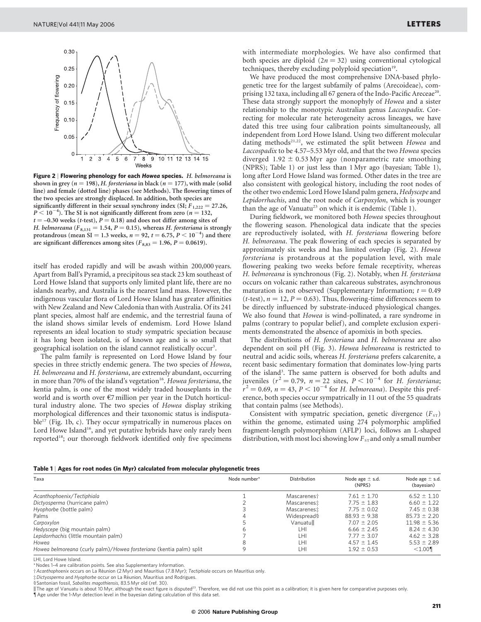

Figure 2 | Flowering phenology for each Howea species. H. belmoreana is shown in grey ( $n = 198$ ), H. forsteriana in black ( $n = 177$ ), with male (solid line) and female (dotted line) phases (see Methods). The flowering times of the two species are strongly displaced. In addition, both species are significantly different in their sexual synchrony index (SI;  $F_{1,222} = 27.26$ ,  $P < 10^{-4}$ ). The SI is not significantly different from zero ( $n = 132$ ,  $t = -0.30$  weeks (t-test),  $P = 0.18$ ) and does not differ among sites of H. belmoreana ( $F_{8,131} = 1.54$ ,  $P = 0.15$ ), whereas H. forsteriana is strongly protandrous (mean SI = 1.3 weeks,  $n = 92$ ,  $t = 6.75$ ,  $P < 10^{-4}$ ) and there are significant differences among sites ( $F_{8,83} = 1.96$ ,  $P = 0.0619$ ).

itself has eroded rapidly and will be awash within 200,000 years. Apart from Ball's Pyramid, a precipitous sea stack 23 km southeast of Lord Howe Island that supports only limited plant life, there are no islands nearby, and Australia is the nearest land mass. However, the indigenous vascular flora of Lord Howe Island has greater affinities with New Zealand and New Caledonia than with Australia. Of its 241 plant species, almost half are endemic, and the terrestrial fauna of the island shows similar levels of endemism. Lord Howe Island represents an ideal location to study sympatric speciation because it has long been isolated, is of known age and is so small that geographical isolation on the island cannot realistically occur<sup>3</sup>.

The palm family is represented on Lord Howe Island by four species in three strictly endemic genera. The two species of Howea, H. belmoreana and H. forsteriana, are extremely abundant, occurring in more than 70% of the island's vegetation<sup>16</sup>. Howea forsteriana, the kentia palm, is one of the most widely traded houseplants in the world and is worth over *e*7 million per year in the Dutch horticultural industry alone. The two species of Howea display striking morphological differences and their taxonomic status is indisputa $ble^{17}$  (Fig. 1b, c). They occur sympatrically in numerous places on Lord Howe Island<sup>16</sup>, and yet putative hybrids have only rarely been reported<sup>18</sup>; our thorough fieldwork identified only five specimens with intermediate morphologies. We have also confirmed that both species are diploid  $(2n = 32)$  using conventional cytological techniques, thereby excluding polyploid speciation<sup>19</sup>.

We have produced the most comprehensive DNA-based phylogenetic tree for the largest subfamily of palms (Arecoideae), comprising 132 taxa, including all 67 genera of the Indo-Pacific Areceae<sup>20</sup>. These data strongly support the monophyly of Howea and a sister relationship to the monotypic Australian genus Laccospadix. Correcting for molecular rate heterogeneity across lineages, we have dated this tree using four calibration points simultaneously, all independent from Lord Howe Island. Using two different molecular dating methods<sup>21,22</sup>, we estimated the split between Howea and Laccospadix to be 4.57–5.53 Myr old, and that the two Howea species diverged  $1.92 \pm 0.53$  Myr ago (nonparametric rate smoothing (NPRS); Table 1) or just less than 1 Myr ago (bayesian; Table 1), long after Lord Howe Island was formed. Other dates in the tree are also consistent with geological history, including the root nodes of the other two endemic Lord Howe Island palm genera, Hedyscepe and Lepidorrhachis, and the root node of Carpoxylon, which is younger than the age of Vanuatu<sup>23</sup> on which it is endemic (Table 1).

During fieldwork, we monitored both Howea species throughout the flowering season. Phenological data indicate that the species are reproductively isolated, with H. forsteriana flowering before H. belmoreana. The peak flowering of each species is separated by approximately six weeks and has limited overlap (Fig. 2). Howea forsteriana is protandrous at the population level, with male flowering peaking two weeks before female receptivity, whereas H. belmoreana is synchronous (Fig. 2). Notably, when H. forsteriana occurs on volcanic rather than calcareous substrates, asynchronous maturation is not observed (Supplementary Information;  $t = 0.49$ ) (*t*-test),  $n = 12$ ,  $P = 0.63$ ). Thus, flowering-time differences seem to be directly influenced by substrate-induced physiological changes. We also found that Howea is wind-pollinated, a rare syndrome in palms (contrary to popular belief), and complete exclusion experiments demonstrated the absence of apomixis in both species.

The distributions of H. forsteriana and H. belmoreana are also dependent on soil pH (Fig. 3). Howea belmoreana is restricted to neutral and acidic soils, whereas H. forsteriana prefers calcarenite, a recent basic sedimentary formation that dominates low-lying parts of the island<sup>3</sup>. The same pattern is observed for both adults and juveniles ( $r^2 = 0.79$ ,  $n = 22$  sites,  $P < 10^{-4}$  for H. forsteriana;  $r^2 = 0.69$ ,  $n = 43$ ,  $P < 10^{-4}$  for H. belmoreana). Despite this preference, both species occur sympatrically in 11 out of the 55 quadrats that contain palms (see Methods).

Consistent with sympatric speciation, genetic divergence  $(F_{ST})$ within the genome, estimated using 274 polymorphic amplified fragment-length polymorphism (AFLP) loci, follows an L-shaped distribution, with most loci showing low  $F_{ST}$  and only a small number

|  |  | Table 1   Ages for root nodes (in Myr) calculated from molecular phylogenetic trees |
|--|--|-------------------------------------------------------------------------------------|
|--|--|-------------------------------------------------------------------------------------|

| Taxa                                                                | Node number* | Distribution            | Node age $\pm$ s.d.<br>(NPRS) | Node age $\pm$ s.d.<br>(bayesian) |
|---------------------------------------------------------------------|--------------|-------------------------|-------------------------------|-----------------------------------|
| Acanthophoenix/Tectiphiala                                          |              | Mascarenes <sup>+</sup> | $7.61 \pm 1.70$               | $6.52 \pm 1.10$                   |
| Dictyosperma (hurricane palm)                                       |              | Mascarenes:             | $7.75 \pm 1.83$               | $6.60 \pm 1.22$                   |
| Hyophorbe (bottle palm)                                             |              | Mascarenes:             | $7.75 \pm 0.02$               | $7.45 \pm 0.38$                   |
| Palms                                                               |              | Widespreads             | $88.93 \pm 9.38$              | $85.73 \pm 2.20$                  |
| Carpoxylon                                                          |              | Vanuatull               | $7.07 \pm 2.05$               | $11.98 \pm 5.36$                  |
| Hedyscepe (big mountain palm)                                       |              | LHI                     | $6.66 \pm 2.45$               | $8.24 \pm 4.30$                   |
| Lepidorrhachis (little mountain palm)                               |              | LHI                     | $7.77 \pm 3.07$               | $4.62 \pm 3.28$                   |
| Howea                                                               |              | LHI                     | $4.57 \pm 1.45$               | $5.53 \pm 2.89$                   |
| Howea belmoreana (curly palm)/Howea forsteriana (kentia palm) split |              | LHI                     | $1.92 \pm 0.53$               | < 1.00                            |

LHI, Lord Howe Island.

\*Nodes 1–4 are calibration points. See also Supplementary Information.

†Acanthophoenix occurs on La Re´union (2 Myr) and Mauritius (7.8 Myr); Tectiphiala occurs on Mauritius only.

 $\ddagger$  Dictyosperma and Hyophorbe occur on La Réunion, Mauritius and Rodrigues.

§Santonian fossil, Sabalites magothiensis, 83.5 Myr old (ref. 30).

The age of Vanuatu is about 10 Myr, although the exact figure is disputed<sup>23</sup>. Therefore, we did not use this point as a calibration; it is given here for comparative purposes only.

{Age under the 1-Myr detection level in the bayesian dating calculation of this data set.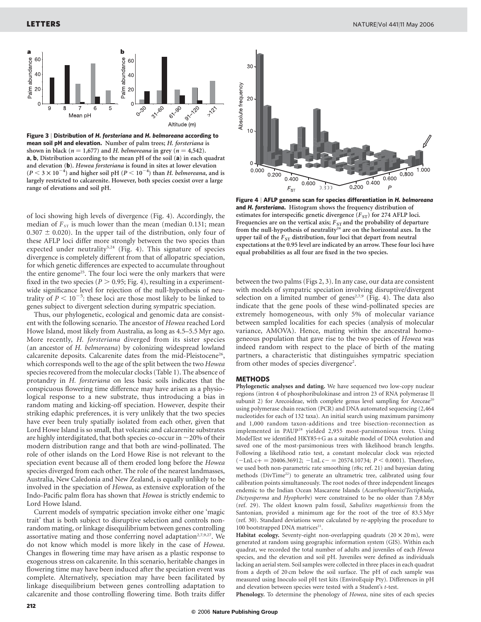

Figure 3 | Distribution of H. forsteriana and H. belmoreana according to mean soil pH and elevation. Number of palm trees; H. forsteriana is shown in black ( $n = 1,677$ ) and H. belmoreana in grey ( $n = 4,542$ ). a, b, Distribution according to the mean pH of the soil (a) in each quadrat and elevation (b). Howea forsteriana is found in sites at lower elevation  $(P < 3 \times 10^{-4})$  and higher soil pH  $(P < 10^{-4})$  than H. belmoreana, and is largely restricted to calcarenite. However, both species coexist over a large range of elevations and soil pH.

of loci showing high levels of divergence (Fig. 4). Accordingly, the median of  $F_{ST}$  is much lower than the mean (median 0.131; mean 0.307  $\pm$  0.020). In the upper tail of the distribution, only four of these AFLP loci differ more strongly between the two species than expected under neutrality<sup>5,24</sup> (Fig. 4). This signature of species divergence is completely different from that of allopatric speciation, for which genetic differences are expected to accumulate throughout the entire genome<sup>25</sup>. The four loci were the only markers that were fixed in the two species ( $P > 0.95$ ; Fig. 4), resulting in a experimentwide significance level for rejection of the null-hypothesis of neutrality of  $P < 10^{-5}$ : these loci are those most likely to be linked to genes subject to divergent selection during sympatric speciation.

Thus, our phylogenetic, ecological and genomic data are consistent with the following scenario. The ancestor of Howea reached Lord Howe Island, most likely from Australia, as long as 4.5–5.5 Myr ago. More recently, H. forsteriana diverged from its sister species (an ancestor of H. belmoreana) by colonizing widespread lowland calcarenite deposits. Calcarenite dates from the mid-Pleistocene<sup>26</sup>, which corresponds well to the age of the split between the two *Howea* species recovered from the molecular clocks (Table 1). The absence of protandry in H. forsteriana on less basic soils indicates that the conspicuous flowering time difference may have arisen as a physiological response to a new substrate, thus introducing a bias in random mating and kicking-off speciation. However, despite their striking edaphic preferences, it is very unlikely that the two species have ever been truly spatially isolated from each other, given that Lord Howe Island is so small, that volcanic and calcarenite substrates are highly interdigitated, that both species co-occur in  $\sim$  20% of their modern distribution range and that both are wind-pollinated. The role of other islands on the Lord Howe Rise is not relevant to the speciation event because all of them eroded long before the Howea species diverged from each other. The role of the nearest landmasses, Australia, New Caledonia and New Zealand, is equally unlikely to be involved in the speciation of Howea, as extensive exploration of the Indo-Pacific palm flora has shown that Howea is strictly endemic to Lord Howe Island.

Current models of sympatric speciation invoke either one 'magic trait' that is both subject to disruptive selection and controls nonrandom mating, or linkage disequilibrium between genes controlling assortative mating and those conferring novel adaptation<sup>2,7,9,27</sup>. We do not know which model is more likely in the case of Howea. Changes in flowering time may have arisen as a plastic response to exogenous stress on calcarenite. In this scenario, heritable changes in flowering time may have been induced after the speciation event was complete. Alternatively, speciation may have been facilitated by linkage disequilibrium between genes controlling adaptation to calcarenite and those controlling flowering time. Both traits differ



Figure 4 | AFLP genome scan for species differentiation in H. belmoreana and H. forsteriana. Histogram shows the frequency distribution of estimates for interspecific genetic divergence  $(F_{ST})$  for 274 AFLP loci. Frequencies are on the vertical axis;  $F_{ST}$  and the probability of departure from the null-hypothesis of neutrality<sup>24</sup> are on the horizontal axes. In the upper tail of the  $F_{ST}$  distribution, four loci that depart from neutral expectations at the 0.95 level are indicated by an arrow. These four loci have equal probabilities as all four are fixed in the two species.

between the two palms (Figs 2, 3). In any case, our data are consistent with models of sympatric speciation involving disruptive/divergent selection on a limited number of genes<sup>2,7,9</sup> (Fig. 4). The data also indicate that the gene pools of these wind-pollinated species are extremely homogeneous, with only 5% of molecular variance between sampled localities for each species (analysis of molecular variance, AMOVA). Hence, mating within the ancestral homogeneous population that gave rise to the two species of Howea was indeed random with respect to the place of birth of the mating partners, a characteristic that distinguishes sympatric speciation from other modes of species divergence<sup>2</sup>.

## METHODS

Phylogenetic analyses and dating. We have sequenced two low-copy nuclear regions (intron 4 of phosphoribulokinase and intron 23 of RNA polymerase II subunit 2) for Arecoideae, with complete genus level sampling for Areceae<sup>20</sup> using polymerase chain reaction (PCR) and DNA automated sequencing (2,464 nucleotides for each of 132 taxa). An initial search using maximum parsimony and 1,000 random taxon-additions and tree bisection-reconnection as implemented in PAUP<sup>28</sup> yielded 2,955 most-parsimonious trees. Using ModelTest we identified HKY85+G as a suitable model of DNA evolution and saved one of the most-parsimonious trees with likelihood branch lengths. Following a likelihood ratio test, a constant molecular clock was rejected  $(-\text{Ln} \text{L} \text{c}+) = 20406.36912$ ;  $-\text{Ln} \text{L} \text{c} - 20574.10734$ ;  $P < 0.0001$ ). Therefore, we used both non-parametric rate smoothing (r8s; ref. 21) and bayesian dating methods (DivTime<sup>22</sup>) to generate an ultrametric tree, calibrated using four calibration points simultaneously. The root nodes of three independent lineages endemic to the Indian Ocean Mascarene Islands (Acanthophoenix/Tectiphiala, Dictyosperma and Hyophorbe) were constrained to be no older than 7.8 Myr (ref. 29). The oldest known palm fossil, Sabalites magothiensis from the Santonian, provided a minimum age for the root of the tree of 83.5 Myr (ref. 30). Standard deviations were calculated by re-applying the procedure to 100 bootstrapped DNA matrices $21$ .

Habitat ecology. Seventy-eight non-overlapping quadrats  $(20 \times 20 \text{ m})$ , were generated at random using geographic information system (GIS). Within each quadrat, we recorded the total number of adults and juveniles of each Howea species, and the elevation and soil pH. Juveniles were defined as individuals lacking an aerial stem. Soil samples were collected in three places in each quadrat from a depth of 20 cm below the soil surface. The pH of each sample was measured using Inoculo soil pH test kits (EnviroEquip Pty). Differences in pH and elevation between species were tested with a Student's t-test.

Phenology. To determine the phenology of Howea, nine sites of each species